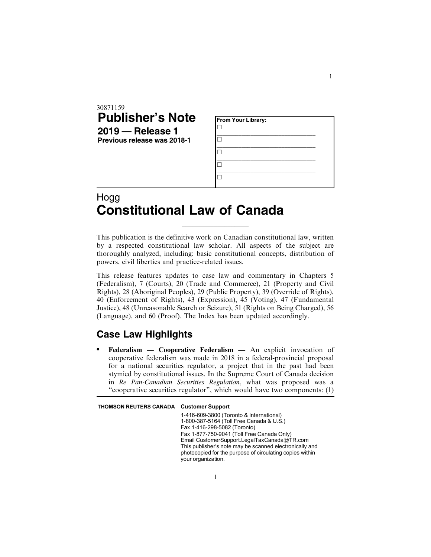| 30871159<br><b>Publisher's Note</b><br>$2019$ - Release 1<br>Previous release was 2018-1 | <b>From Your Library:</b> |
|------------------------------------------------------------------------------------------|---------------------------|
|                                                                                          |                           |
| . .                                                                                      |                           |

## Hogg **Constitutional Law of Canada**

This publication is the definitive work on Canadian constitutional law, written by a respected constitutional law scholar. All aspects of the subject are thoroughly analyzed, including: basic constitutional concepts, distribution of powers, civil liberties and practice-related issues.

\_\_\_\_\_\_\_\_\_\_\_\_\_\_\_\_\_\_\_

This release features updates to case law and commentary in Chapters 5 (Federalism), 7 (Courts), 20 (Trade and Commerce), 21 (Property and Civil Rights), 28 (Aboriginal Peoples), 29 (Public Property), 39 (Override of Rights), 40 (Enforcement of Rights), 43 (Expression), 45 (Voting), 47 (Fundamental Justice), 48 (Unreasonable Search or Seizure), 51 (Rights on Being Charged), 56 (Language), and 60 (Proof). The Index has been updated accordingly.

## **Case Law Highlights**

. **Federalism — Cooperative Federalism —** An explicit invocation of cooperative federalism was made in 2018 in a federal-provincial proposal for a national securities regulator, a project that in the past had been stymied by constitutional issues. In the Supreme Court of Canada decision in *Re Pan-Canadian Securities Regulation*, what was proposed was a "cooperative securities regulator", which would have two components: (1)

THOMSON REUTERS CANADA Customer Support

1-416-609-3800 (Toronto & International) 1-800-387-5164 (Toll Free Canada & U.S.) Fax 1-416-298-5082 (Toronto) Fax 1-877-750-9041 (Toll Free Canada Only) Email CustomerSupport.LegalTaxCanada@TR.com This publisher's note may be scanned electronically and photocopied for the purpose of circulating copies within your organization.

1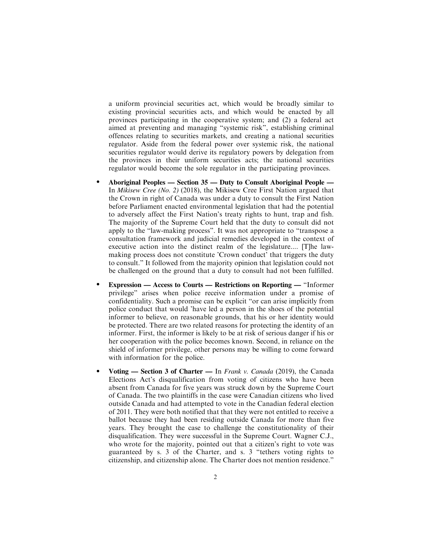a uniform provincial securities act, which would be broadly similar to existing provincial securities acts, and which would be enacted by all provinces participating in the cooperative system; and (2) a federal act aimed at preventing and managing "systemic risk", establishing criminal offences relating to securities markets, and creating a national securities regulator. Aside from the federal power over systemic risk, the national securities regulator would derive its regulatory powers by delegation from the provinces in their uniform securities acts; the national securities regulator would become the sole regulator in the participating provinces.

- . **Aboriginal Peoples Section 35 Duty to Consult Aboriginal People —** In *Mikisew Cree (No. 2)* (2018), the Mikisew Cree First Nation argued that the Crown in right of Canada was under a duty to consult the First Nation before Parliament enacted environmental legislation that had the potential to adversely affect the First Nation's treaty rights to hunt, trap and fish. The majority of the Supreme Court held that the duty to consult did not apply to the "law-making process". It was not appropriate to "transpose a consultation framework and judicial remedies developed in the context of executive action into the distinct realm of the legislature.... [T]he lawmaking process does not constitute 'Crown conduct' that triggers the duty to consult." It followed from the majority opinion that legislation could not be challenged on the ground that a duty to consult had not been fulfilled.
- . **Expression Access to Courts Restrictions on Reporting —** "Informer privilege" arises when police receive information under a promise of confidentiality. Such a promise can be explicit "or can arise implicitly from police conduct that would 'have led a person in the shoes of the potential informer to believe, on reasonable grounds, that his or her identity would be protected. There are two related reasons for protecting the identity of an informer. First, the informer is likely to be at risk of serious danger if his or her cooperation with the police becomes known. Second, in reliance on the shield of informer privilege, other persons may be willing to come forward with information for the police.
- . **Voting Section 3 of Charter —** In *Frank v. Canada* (2019), the Canada Elections Act's disqualification from voting of citizens who have been absent from Canada for five years was struck down by the Supreme Court of Canada. The two plaintiffs in the case were Canadian citizens who lived outside Canada and had attempted to vote in the Canadian federal election of 2011. They were both notified that that they were not entitled to receive a ballot because they had been residing outside Canada for more than five years. They brought the case to challenge the constitutionality of their disqualification. They were successful in the Supreme Court. Wagner C.J., who wrote for the majority, pointed out that a citizen's right to vote was guaranteed by s. 3 of the Charter, and s. 3 "tethers voting rights to citizenship, and citizenship alone. The Charter does not mention residence."